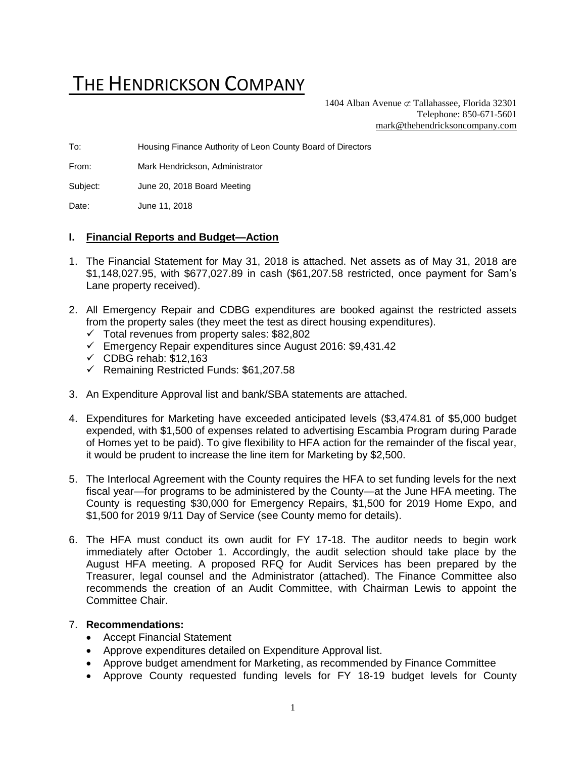# THE HENDRICKSON COMPANY

1404 Alban Avenue  $\subset \text{Tallahasse}$ , Florida 32301 Telephone: 850-671-5601 [mark@thehendricksoncompany.com](mailto:mark@thehendricksoncompany.com)

To: Housing Finance Authority of Leon County Board of Directors

From: Mark Hendrickson, Administrator

Subject: June 20, 2018 Board Meeting

Date: June 11, 2018

#### **I. Financial Reports and Budget—Action**

- 1. The Financial Statement for May 31, 2018 is attached. Net assets as of May 31, 2018 are \$1,148,027.95, with \$677,027.89 in cash (\$61,207.58 restricted, once payment for Sam's Lane property received).
- 2. All Emergency Repair and CDBG expenditures are booked against the restricted assets from the property sales (they meet the test as direct housing expenditures).
	- $\checkmark$  Total revenues from property sales: \$82,802
	- ✓ Emergency Repair expenditures since August 2016: \$9,431.42
	- $\checkmark$  CDBG rehab: \$12,163
	- ✓ Remaining Restricted Funds: \$61,207.58
- 3. An Expenditure Approval list and bank/SBA statements are attached.
- 4. Expenditures for Marketing have exceeded anticipated levels (\$3,474.81 of \$5,000 budget expended, with \$1,500 of expenses related to advertising Escambia Program during Parade of Homes yet to be paid). To give flexibility to HFA action for the remainder of the fiscal year, it would be prudent to increase the line item for Marketing by \$2,500.
- 5. The Interlocal Agreement with the County requires the HFA to set funding levels for the next fiscal year—for programs to be administered by the County—at the June HFA meeting. The County is requesting \$30,000 for Emergency Repairs, \$1,500 for 2019 Home Expo, and \$1,500 for 2019 9/11 Day of Service (see County memo for details).
- 6. The HFA must conduct its own audit for FY 17-18. The auditor needs to begin work immediately after October 1. Accordingly, the audit selection should take place by the August HFA meeting. A proposed RFQ for Audit Services has been prepared by the Treasurer, legal counsel and the Administrator (attached). The Finance Committee also recommends the creation of an Audit Committee, with Chairman Lewis to appoint the Committee Chair.

#### 7. **Recommendations:**

- Accept Financial Statement
- Approve expenditures detailed on Expenditure Approval list.
- Approve budget amendment for Marketing, as recommended by Finance Committee
- Approve County requested funding levels for FY 18-19 budget levels for County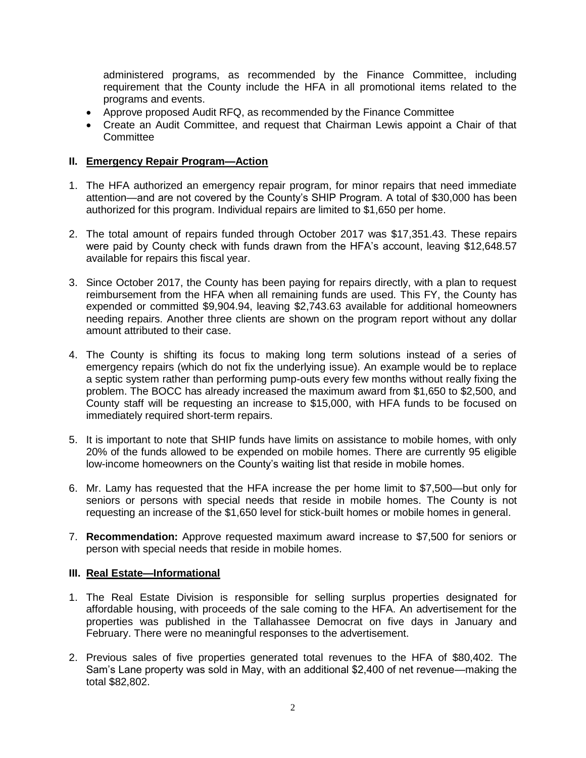administered programs, as recommended by the Finance Committee, including requirement that the County include the HFA in all promotional items related to the programs and events.

- Approve proposed Audit RFQ, as recommended by the Finance Committee
- Create an Audit Committee, and request that Chairman Lewis appoint a Chair of that **Committee**

### **II. Emergency Repair Program—Action**

- 1. The HFA authorized an emergency repair program, for minor repairs that need immediate attention—and are not covered by the County's SHIP Program. A total of \$30,000 has been authorized for this program. Individual repairs are limited to \$1,650 per home.
- 2. The total amount of repairs funded through October 2017 was \$17,351.43. These repairs were paid by County check with funds drawn from the HFA's account, leaving \$12,648.57 available for repairs this fiscal year.
- 3. Since October 2017, the County has been paying for repairs directly, with a plan to request reimbursement from the HFA when all remaining funds are used. This FY, the County has expended or committed \$9,904.94, leaving \$2,743.63 available for additional homeowners needing repairs. Another three clients are shown on the program report without any dollar amount attributed to their case.
- 4. The County is shifting its focus to making long term solutions instead of a series of emergency repairs (which do not fix the underlying issue). An example would be to replace a septic system rather than performing pump-outs every few months without really fixing the problem. The BOCC has already increased the maximum award from \$1,650 to \$2,500, and County staff will be requesting an increase to \$15,000, with HFA funds to be focused on immediately required short-term repairs.
- 5. It is important to note that SHIP funds have limits on assistance to mobile homes, with only 20% of the funds allowed to be expended on mobile homes. There are currently 95 eligible low-income homeowners on the County's waiting list that reside in mobile homes.
- 6. Mr. Lamy has requested that the HFA increase the per home limit to \$7,500—but only for seniors or persons with special needs that reside in mobile homes. The County is not requesting an increase of the \$1,650 level for stick-built homes or mobile homes in general.
- 7. **Recommendation:** Approve requested maximum award increase to \$7,500 for seniors or person with special needs that reside in mobile homes.

#### **III. Real Estate—Informational**

- 1. The Real Estate Division is responsible for selling surplus properties designated for affordable housing, with proceeds of the sale coming to the HFA. An advertisement for the properties was published in the Tallahassee Democrat on five days in January and February. There were no meaningful responses to the advertisement.
- 2. Previous sales of five properties generated total revenues to the HFA of \$80,402. The Sam's Lane property was sold in May, with an additional \$2,400 of net revenue—making the total \$82,802.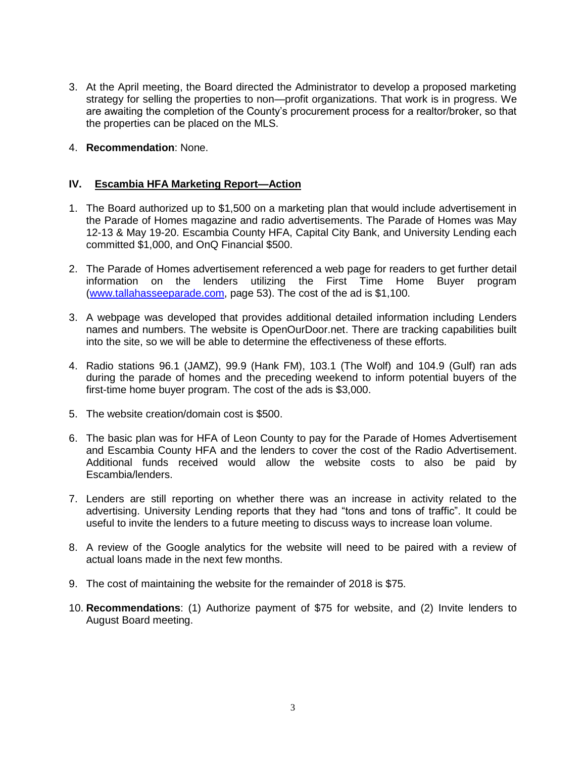- 3. At the April meeting, the Board directed the Administrator to develop a proposed marketing strategy for selling the properties to non—profit organizations. That work is in progress. We are awaiting the completion of the County's procurement process for a realtor/broker, so that the properties can be placed on the MLS.
- 4. **Recommendation**: None.

#### **IV. Escambia HFA Marketing Report—Action**

- 1. The Board authorized up to \$1,500 on a marketing plan that would include advertisement in the Parade of Homes magazine and radio advertisements. The Parade of Homes was May 12-13 & May 19-20. Escambia County HFA, Capital City Bank, and University Lending each committed \$1,000, and OnQ Financial \$500.
- 2. The Parade of Homes advertisement referenced a web page for readers to get further detail information on the lenders utilizing the First Time Home Buyer program [\(www.tallahasseeparade.com,](http://www.tallahasseeparade.com/) page 53). The cost of the ad is \$1,100.
- 3. A webpage was developed that provides additional detailed information including Lenders names and numbers. The website is OpenOurDoor.net. There are tracking capabilities built into the site, so we will be able to determine the effectiveness of these efforts.
- 4. Radio stations 96.1 (JAMZ), 99.9 (Hank FM), 103.1 (The Wolf) and 104.9 (Gulf) ran ads during the parade of homes and the preceding weekend to inform potential buyers of the first-time home buyer program. The cost of the ads is \$3,000.
- 5. The website creation/domain cost is \$500.
- 6. The basic plan was for HFA of Leon County to pay for the Parade of Homes Advertisement and Escambia County HFA and the lenders to cover the cost of the Radio Advertisement. Additional funds received would allow the website costs to also be paid by Escambia/lenders.
- 7. Lenders are still reporting on whether there was an increase in activity related to the advertising. University Lending reports that they had "tons and tons of traffic". It could be useful to invite the lenders to a future meeting to discuss ways to increase loan volume.
- 8. A review of the Google analytics for the website will need to be paired with a review of actual loans made in the next few months.
- 9. The cost of maintaining the website for the remainder of 2018 is \$75.
- 10. **Recommendations**: (1) Authorize payment of \$75 for website, and (2) Invite lenders to August Board meeting.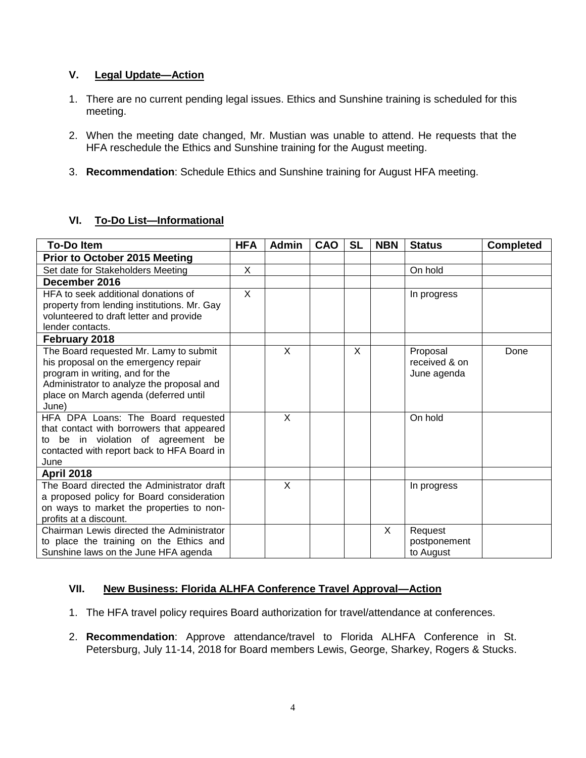## **V. Legal Update—Action**

- 1. There are no current pending legal issues. Ethics and Sunshine training is scheduled for this meeting.
- 2. When the meeting date changed, Mr. Mustian was unable to attend. He requests that the HFA reschedule the Ethics and Sunshine training for the August meeting.
- 3. **Recommendation**: Schedule Ethics and Sunshine training for August HFA meeting.

## **VI. To-Do List—Informational**

| <b>To-Do Item</b>                           | <b>HFA</b> | <b>Admin</b> | CAO | <b>SL</b> | <b>NBN</b> | <b>Status</b> | <b>Completed</b> |
|---------------------------------------------|------------|--------------|-----|-----------|------------|---------------|------------------|
| Prior to October 2015 Meeting               |            |              |     |           |            |               |                  |
| Set date for Stakeholders Meeting           | X          |              |     |           |            | On hold       |                  |
| December 2016                               |            |              |     |           |            |               |                  |
| HFA to seek additional donations of         | X          |              |     |           |            | In progress   |                  |
| property from lending institutions. Mr. Gay |            |              |     |           |            |               |                  |
| volunteered to draft letter and provide     |            |              |     |           |            |               |                  |
| lender contacts.                            |            |              |     |           |            |               |                  |
| February 2018                               |            |              |     |           |            |               |                  |
| The Board requested Mr. Lamy to submit      |            | X            |     | X         |            | Proposal      | Done             |
| his proposal on the emergency repair        |            |              |     |           |            | received & on |                  |
| program in writing, and for the             |            |              |     |           |            | June agenda   |                  |
| Administrator to analyze the proposal and   |            |              |     |           |            |               |                  |
| place on March agenda (deferred until       |            |              |     |           |            |               |                  |
| June)                                       |            |              |     |           |            |               |                  |
| HFA DPA Loans: The Board requested          |            | X            |     |           |            | On hold       |                  |
| that contact with borrowers that appeared   |            |              |     |           |            |               |                  |
| to be in violation of agreement be          |            |              |     |           |            |               |                  |
| contacted with report back to HFA Board in  |            |              |     |           |            |               |                  |
| June                                        |            |              |     |           |            |               |                  |
| <b>April 2018</b>                           |            |              |     |           |            |               |                  |
| The Board directed the Administrator draft  |            | X            |     |           |            | In progress   |                  |
| a proposed policy for Board consideration   |            |              |     |           |            |               |                  |
| on ways to market the properties to non-    |            |              |     |           |            |               |                  |
| profits at a discount.                      |            |              |     |           |            |               |                  |
| Chairman Lewis directed the Administrator   |            |              |     |           | X          | Request       |                  |
| to place the training on the Ethics and     |            |              |     |           |            | postponement  |                  |
| Sunshine laws on the June HFA agenda        |            |              |     |           |            | to August     |                  |

## **VII. New Business: Florida ALHFA Conference Travel Approval—Action**

- 1. The HFA travel policy requires Board authorization for travel/attendance at conferences.
- 2. **Recommendation**: Approve attendance/travel to Florida ALHFA Conference in St. Petersburg, July 11-14, 2018 for Board members Lewis, George, Sharkey, Rogers & Stucks.